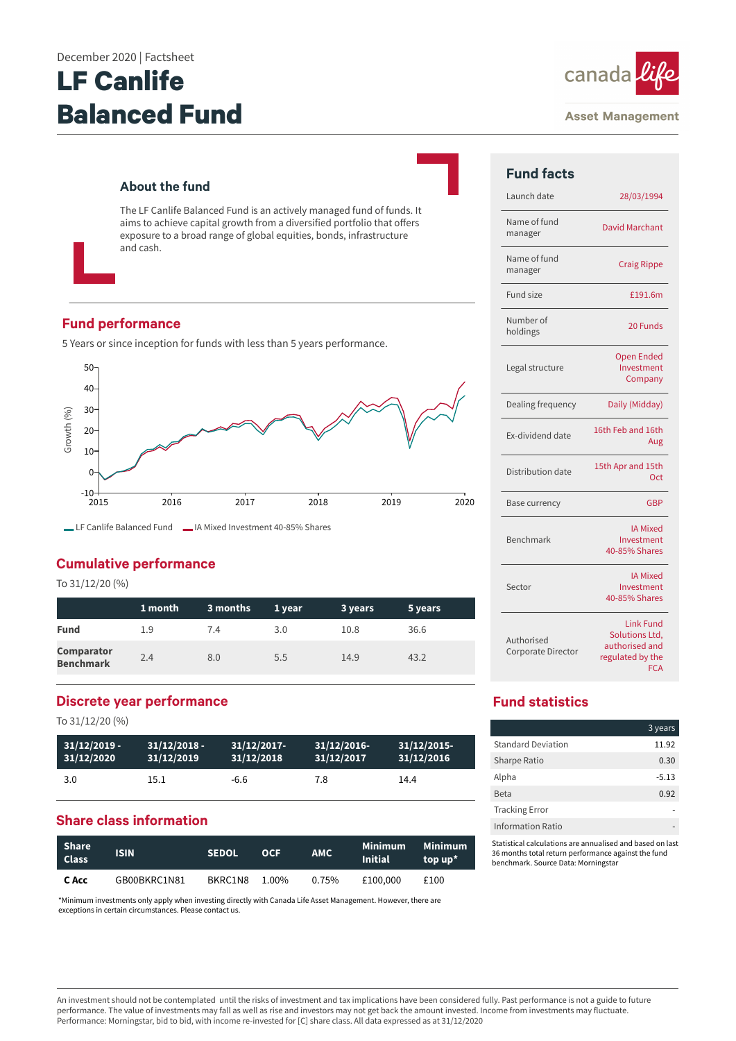# **LF Canlife Balanced Fund**



#### **Asset Management**

## **About the fund**

The LF Canlife Balanced Fund is an actively managed fund of funds. It aims to achieve capital growth from a diversified portfolio that offers exposure to a broad range of global equities, bonds, infrastructure and cash.

## **Fund performance**

5 Years or since inception for funds with less than 5 years performance.



LF Canlife Balanced Fund LA Mixed Investment 40-85% Shares

## **Cumulative performance**

To 31/12/20 (%)

|                                       | 1 month | 3 months | 1 year | 3 years | 5 years |
|---------------------------------------|---------|----------|--------|---------|---------|
| <b>Fund</b>                           | 1.9     | 7.4      | 3.0    | 10.8    | 36.6    |
| <b>Comparator</b><br><b>Benchmark</b> | 2.4     | 8.0      | 5.5    | 14.9    | 43.2    |

## **Discrete year performance**

To 31/12/20 (%)

| $31/12/2019 -$ | $31/12/2018 -$ | $31/12/2017$ - | 31/12/2016- | $31/12/2015$ - |
|----------------|----------------|----------------|-------------|----------------|
| 31/12/2020     | 31/12/2019     | 31/12/2018     | 31/12/2017  | 31/12/2016     |
| 3.0            | 15.1           | -6.6           | 7.8         | 14.4           |

## **Share class information**

| Share<br><b>Class</b> | <b>ISIN</b>  | <b>SEDOL</b> | OCE   | <b>AMC</b> | Minimum<br><b>Initial</b> | Minimum<br>top up* |
|-----------------------|--------------|--------------|-------|------------|---------------------------|--------------------|
| C Acc                 | GB00BKRC1N81 | BKRC1N8      | 1.00% | $0.75\%$   | £100.000                  | £100               |

\*Minimum investments only apply when investing directly with Canada Life Asset Management. However, there are exceptions in certain circumstances. Please contact us.

| <b>Fund facts</b>                |                                                                                        |
|----------------------------------|----------------------------------------------------------------------------------------|
| Launch date                      | 28/03/1994                                                                             |
| Name of fund<br>manager          | David Marchant                                                                         |
| Name of fund<br>manager          | <b>Craig Rippe</b>                                                                     |
| Fund size                        | £191.6m                                                                                |
| Number of<br>holdings            | 20 Funds                                                                               |
| Legal structure                  | <b>Open Ended</b><br>Investment<br>Company                                             |
| Dealing frequency                | Daily (Midday)                                                                         |
| <b>Fx-dividend date</b>          | 16th Feb and 16th<br>Aug                                                               |
| Distribution date                | 15th Apr and 15th<br>Oct                                                               |
| Base currency                    | <b>GBP</b>                                                                             |
| Benchmark                        | <b>IA Mixed</b><br>Investment<br>40-85% Shares                                         |
| Sector                           | <b>IA Mixed</b><br>Investment<br>40-85% Shares                                         |
| Authorised<br>Corporate Director | <b>Link Fund</b><br>Solutions Ltd,<br>authorised and<br>regulated by the<br><b>FCA</b> |

# **Fund statistics**

|                           | 3 years |
|---------------------------|---------|
| <b>Standard Deviation</b> | 11.92   |
| Sharpe Ratio              | 0.30    |
| Alpha                     | $-5.13$ |
| <b>Beta</b>               | 0.92    |
| <b>Tracking Error</b>     |         |
| Information Ratio         |         |

Statistical calculations are annualised and based on last 36 months total return performance against the fund benchmark. Source Data: Morningstar